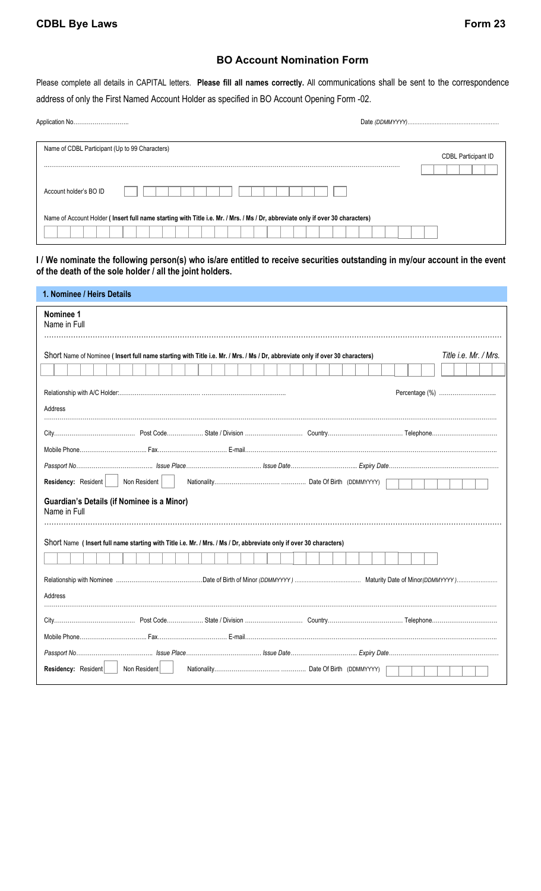## **BO Account Nomination Form**

Please complete all details in CAPITAL letters. **Please fill all names correctly.** All communications shall be sent to the correspondence address of only the First Named Account Holder as specified in BO Account Opening Form -02.

| Name of CDBL Participant (Up to 99 Characters)                                                                                 | <b>CDBL Participant ID</b><br>. |
|--------------------------------------------------------------------------------------------------------------------------------|---------------------------------|
| Account holder's BO ID                                                                                                         |                                 |
| Name of Account Holder (Insert full name starting with Title i.e. Mr. / Mrs. / Ms / Dr, abbreviate only if over 30 characters) |                                 |

**I / We nominate the following person(s) who is/are entitled to receive securities outstanding in my/our account in the event of the death of the sole holder / all the joint holders.** 

| 1. Nominee / Heirs Details                                 |              |                                                                                                                               |  |                       |
|------------------------------------------------------------|--------------|-------------------------------------------------------------------------------------------------------------------------------|--|-----------------------|
| Nominee 1<br>Name in Full                                  |              |                                                                                                                               |  |                       |
|                                                            |              | Short Name of Nominee (Insert full name starting with Title i.e. Mr. / Mrs. / Ms / Dr, abbreviate only if over 30 characters) |  | Title i.e. Mr. / Mrs. |
|                                                            |              |                                                                                                                               |  |                       |
| Address                                                    |              |                                                                                                                               |  |                       |
|                                                            |              |                                                                                                                               |  |                       |
|                                                            |              |                                                                                                                               |  |                       |
|                                                            |              |                                                                                                                               |  |                       |
| Residency: Resident   Non Resident                         |              |                                                                                                                               |  |                       |
| Guardian's Details (if Nominee is a Minor)<br>Name in Full |              |                                                                                                                               |  |                       |
|                                                            |              | Short Name (Insert full name starting with Title i.e. Mr. / Mrs. / Ms / Dr, abbreviate only if over 30 characters)            |  |                       |
|                                                            |              |                                                                                                                               |  |                       |
|                                                            |              |                                                                                                                               |  |                       |
| Address                                                    |              |                                                                                                                               |  |                       |
|                                                            |              |                                                                                                                               |  |                       |
|                                                            |              |                                                                                                                               |  |                       |
|                                                            |              |                                                                                                                               |  |                       |
| Residency: Resident                                        | Non Resident |                                                                                                                               |  |                       |